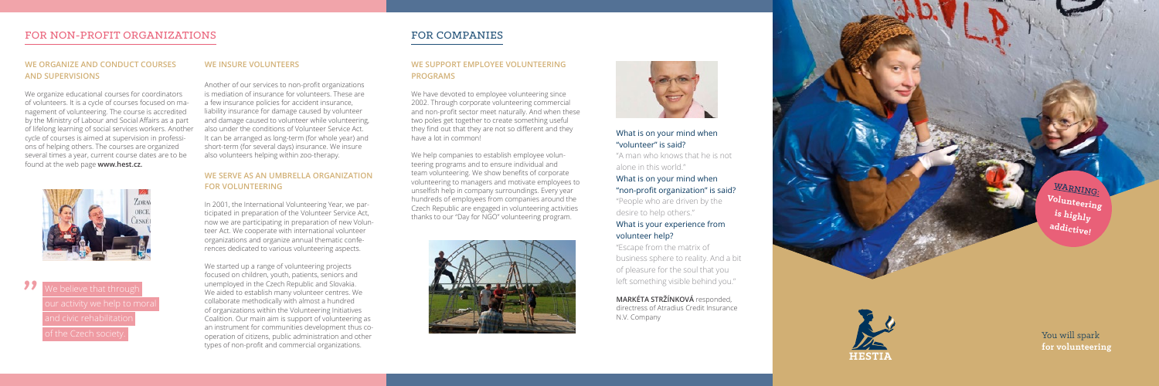You will spark **for volunteering**

#### **WE ORGANIZE AND CONDUCT COURSES AND SUPERVISIONS**

We organize educational courses for coordinators of volunteers. It is a cycle of courses focused on ma nagement of volunteering. The course is accredited by the Ministry of Labour and Social Affairs as a part of lifelong learning of social services workers. Another cycle of courses is aimed at supervision in professi ons of helping others. The courses are organized several times a year, current course dates are to be found at the web page **www.hest.cz.**



**1998** We believe that through

#### **WE INSURE VOLUNTEERS**

Another of our services to non-profit organizations is mediation of insurance for volunteers. These are a few insurance policies for accident insurance, liability insurance for damage caused by volunteer and damage caused to volunteer while volunteering, also under the conditions of Volunteer Service Act. It can be arranged as long-term (for whole year) and short-term (for several days) insurance. We insure also volunteers helping within zoo-therapy.

#### **WE SERVE AS AN UMBRELLA ORGANIZATION FOR VOLUNTEERING**

In 2001, the International Volunteering Year, we par ticipated in preparation of the Volunteer Service Act, now we are participating in preparation of new Volun teer Act. We cooperate with international volunteer organizations and organize annual thematic confe rences dedicated to various volunteering aspects.

We started up a range of volunteering projects focused on children, youth, patients, seniors and unemployed in the Czech Republic and Slovakia. We aided to establish many volunteer centres. We collaborate methodically with almost a hundred of organizations within the Volunteering Initiatives Coalition. Our main aim is support of volunteering as an instrument for communities development thus co operation of citizens, public administration and other types of non-profit and commercial organizations.

## FOR COMPANIES

#### **WE SUPPORT EMPLOYEE VOLUNTEERING PROGRAMS**

We have devoted to employee volunteering since 2002. Through corporate volunteering commercial and non-profit sector meet naturally. And when these two poles get together to create something useful they find out that they are not so different and they have a lot in common!

We help companies to establish employee volun teering programs and to ensure individual and team volunteering. We show benefits of corporate volunteering to managers and motivate employees to unselfish help in company surroundings. Every year hundreds of employees from companies around the Czech Republic are engaged in volunteering activities thanks to our "Day for NGO" volunteering program.





#### What is on your mind when "volunteer" is said?

"A man who knows that he is not alone in this world."

#### What is on your mind when "non-profit organization" is said?

"People who are driven by the desire to help others."

#### What is your experience from volunteer help?

"Escape from the matrix of business sphere to reality. And a bit of pleasure for the soul that you left something visible behind you."

**MARKÉTA STRŽÍNKOVÁ** responded, directress of Atradius Credit Insurance N.V. Company

WARNING: **Volunteering is highly addictive!**



### FOR NON-PROFIT ORGANIZATIONS